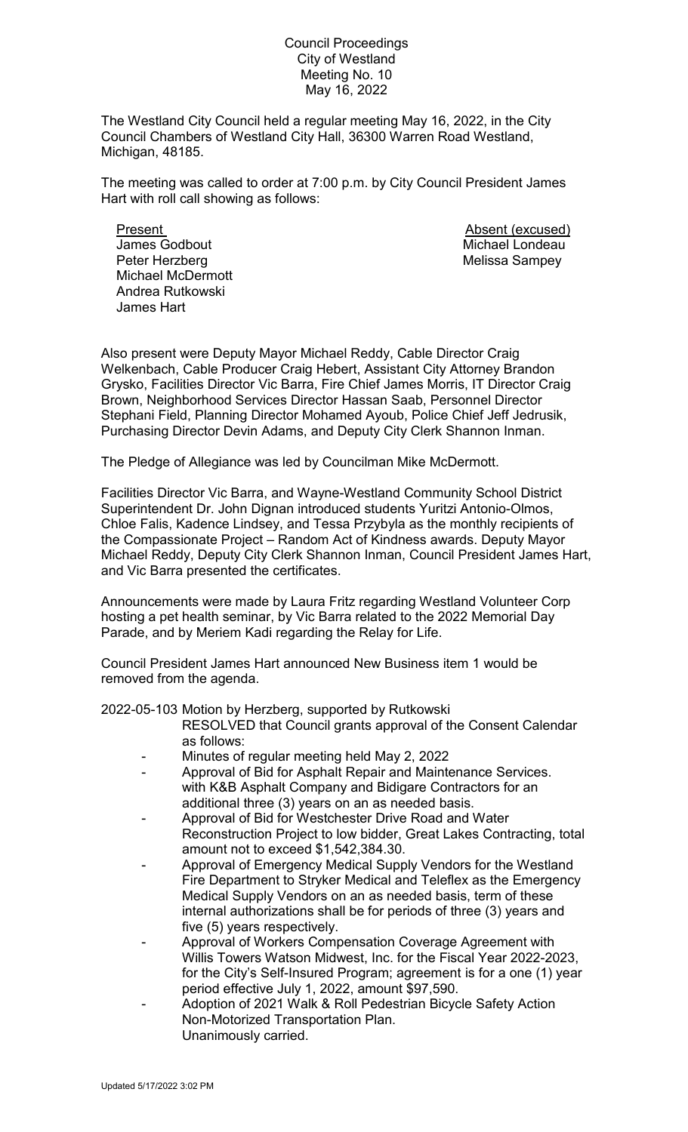## Council Proceedings City of Westland Meeting No. 10 May 16, 2022

The Westland City Council held a regular meeting May 16, 2022, in the City Council Chambers of Westland City Hall, 36300 Warren Road Westland, Michigan, 48185.

The meeting was called to order at 7:00 p.m. by City Council President James Hart with roll call showing as follows:

Present **Absent** (excused) **James Godbout Michael Londeau** Peter Herzberg Melissa Sampey Michael McDermott Andrea Rutkowski James Hart

Also present were Deputy Mayor Michael Reddy, Cable Director Craig Welkenbach, Cable Producer Craig Hebert, Assistant City Attorney Brandon Grysko, Facilities Director Vic Barra, Fire Chief James Morris, IT Director Craig Brown, Neighborhood Services Director Hassan Saab, Personnel Director Stephani Field, Planning Director Mohamed Ayoub, Police Chief Jeff Jedrusik, Purchasing Director Devin Adams, and Deputy City Clerk Shannon Inman.

The Pledge of Allegiance was led by Councilman Mike McDermott.

Facilities Director Vic Barra, and Wayne-Westland Community School District Superintendent Dr. John Dignan introduced students Yuritzi Antonio-Olmos, Chloe Falis, Kadence Lindsey, and Tessa Przybyla as the monthly recipients of the Compassionate Project – Random Act of Kindness awards. Deputy Mayor Michael Reddy, Deputy City Clerk Shannon Inman, Council President James Hart, and Vic Barra presented the certificates.

Announcements were made by Laura Fritz regarding Westland Volunteer Corp hosting a pet health seminar, by Vic Barra related to the 2022 Memorial Day Parade, and by Meriem Kadi regarding the Relay for Life.

Council President James Hart announced New Business item 1 would be removed from the agenda.

2022-05-103 Motion by Herzberg, supported by Rutkowski

- RESOLVED that Council grants approval of the Consent Calendar as follows:
- Minutes of regular meeting held May 2, 2022
- Approval of Bid for Asphalt Repair and Maintenance Services. with K&B Asphalt Company and Bidigare Contractors for an additional three (3) years on an as needed basis.
- Approval of Bid for Westchester Drive Road and Water Reconstruction Project to low bidder, Great Lakes Contracting, total amount not to exceed \$1,542,384.30.
- Approval of Emergency Medical Supply Vendors for the Westland Fire Department to Stryker Medical and Teleflex as the Emergency Medical Supply Vendors on an as needed basis, term of these internal authorizations shall be for periods of three (3) years and five (5) years respectively.
- Approval of Workers Compensation Coverage Agreement with Willis Towers Watson Midwest, Inc. for the Fiscal Year 2022-2023, for the City's Self-Insured Program; agreement is for a one (1) year period effective July 1, 2022, amount \$97,590.
- Adoption of 2021 Walk & Roll Pedestrian Bicycle Safety Action Non-Motorized Transportation Plan. Unanimously carried.